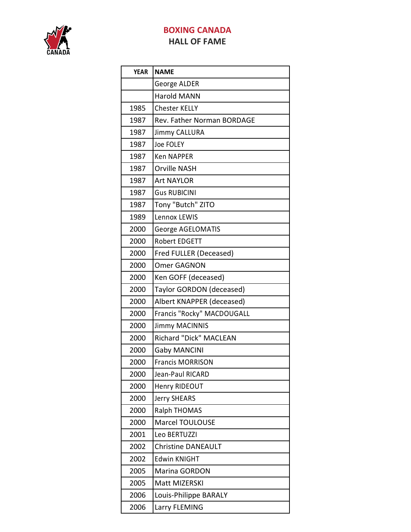

## **BOXING CANADA HALL OF FAME**

| <b>YEAR</b> | <b>NAME</b>                |
|-------------|----------------------------|
|             | George ALDER               |
|             | <b>Harold MANN</b>         |
| 1985        | <b>Chester KELLY</b>       |
| 1987        | Rev. Father Norman BORDAGE |
| 1987        | <b>Jimmy CALLURA</b>       |
| 1987        | Joe FOLEY                  |
| 1987        | <b>Ken NAPPER</b>          |
| 1987        | <b>Orville NASH</b>        |
| 1987        | <b>Art NAYLOR</b>          |
| 1987        | <b>Gus RUBICINI</b>        |
| 1987        | Tony "Butch" ZITO          |
| 1989        | Lennox LEWIS               |
| 2000        | George AGELOMATIS          |
| 2000        | Robert EDGETT              |
| 2000        | Fred FULLER (Deceased)     |
| 2000        | Omer GAGNON                |
| 2000        | Ken GOFF (deceased)        |
| 2000        | Taylor GORDON (deceased)   |
| 2000        | Albert KNAPPER (deceased)  |
| 2000        | Francis "Rocky" MACDOUGALL |
| 2000        | <b>Jimmy MACINNIS</b>      |
| 2000        | Richard "Dick" MACLEAN     |
| 2000        | <b>Gaby MANCINI</b>        |
| 2000        | <b>Francis MORRISON</b>    |
| 2000        | Jean-Paul RICARD           |
| 2000        | Henry RIDEOUT              |
| 2000        | Jerry SHEARS               |
| 2000        | <b>Ralph THOMAS</b>        |
| 2000        | Marcel TOULOUSE            |
| 2001        | Leo BERTUZZI               |
| 2002        | <b>Christine DANEAULT</b>  |
| 2002        | <b>Edwin KNIGHT</b>        |
| 2005        | Marina GORDON              |
| 2005        | Matt MIZERSKI              |
| 2006        | Louis-Philippe BARALY      |
| 2006        | Larry FLEMING              |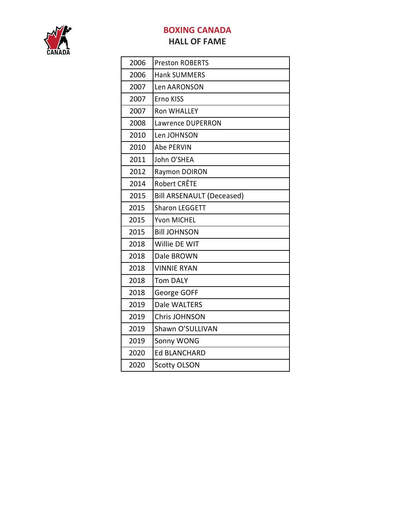

## **BOXING CANADA HALL OF FAME**

| 2006 | <b>Preston ROBERTS</b>           |
|------|----------------------------------|
| 2006 | <b>Hank SUMMERS</b>              |
| 2007 | <b>Len AARONSON</b>              |
| 2007 | Erno KISS                        |
| 2007 | <b>Ron WHALLEY</b>               |
| 2008 | Lawrence DUPERRON                |
| 2010 | Len JOHNSON                      |
| 2010 | Abe PERVIN                       |
| 2011 | John O'SHEA                      |
| 2012 | Raymon DOIRON                    |
| 2014 | <b>Robert CRÊTE</b>              |
| 2015 | <b>Bill ARSENAULT (Deceased)</b> |
| 2015 | <b>Sharon LEGGETT</b>            |
| 2015 | Yvon MICHEL                      |
| 2015 | <b>Bill JOHNSON</b>              |
| 2018 | Willie DE WIT                    |
| 2018 | Dale BROWN                       |
| 2018 | <b>VINNIE RYAN</b>               |
| 2018 | <b>Tom DALY</b>                  |
| 2018 | George GOFF                      |
| 2019 | Dale WALTERS                     |
| 2019 | <b>Chris JOHNSON</b>             |
| 2019 | Shawn O'SULLIVAN                 |
| 2019 | Sonny WONG                       |
| 2020 | <b>Ed BLANCHARD</b>              |
| 2020 | <b>Scotty OLSON</b>              |